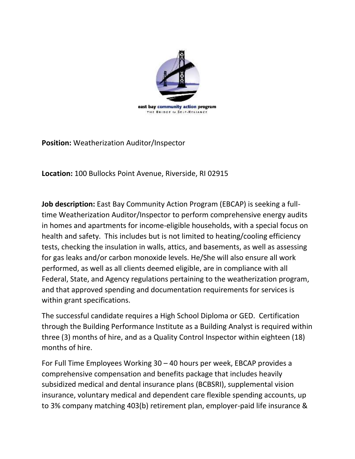

**Position:** Weatherization Auditor/Inspector

**Location:** 100 Bullocks Point Avenue, Riverside, RI 02915

**Job description:** East Bay Community Action Program (EBCAP) is seeking a fulltime Weatherization Auditor/Inspector to perform comprehensive energy audits in homes and apartments for income-eligible households, with a special focus on health and safety. This includes but is not limited to heating/cooling efficiency tests, checking the insulation in walls, attics, and basements, as well as assessing for gas leaks and/or carbon monoxide levels. He/She will also ensure all work performed, as well as all clients deemed eligible, are in compliance with all Federal, State, and Agency regulations pertaining to the weatherization program, and that approved spending and documentation requirements for services is within grant specifications.

The successful candidate requires a High School Diploma or GED. Certification through the Building Performance Institute as a Building Analyst is required within three (3) months of hire, and as a Quality Control Inspector within eighteen (18) months of hire.

For Full Time Employees Working 30 – 40 hours per week, EBCAP provides a comprehensive compensation and benefits package that includes heavily subsidized medical and dental insurance plans (BCBSRI), supplemental vision insurance, voluntary medical and dependent care flexible spending accounts, up to 3% company matching 403(b) retirement plan, employer-paid life insurance &